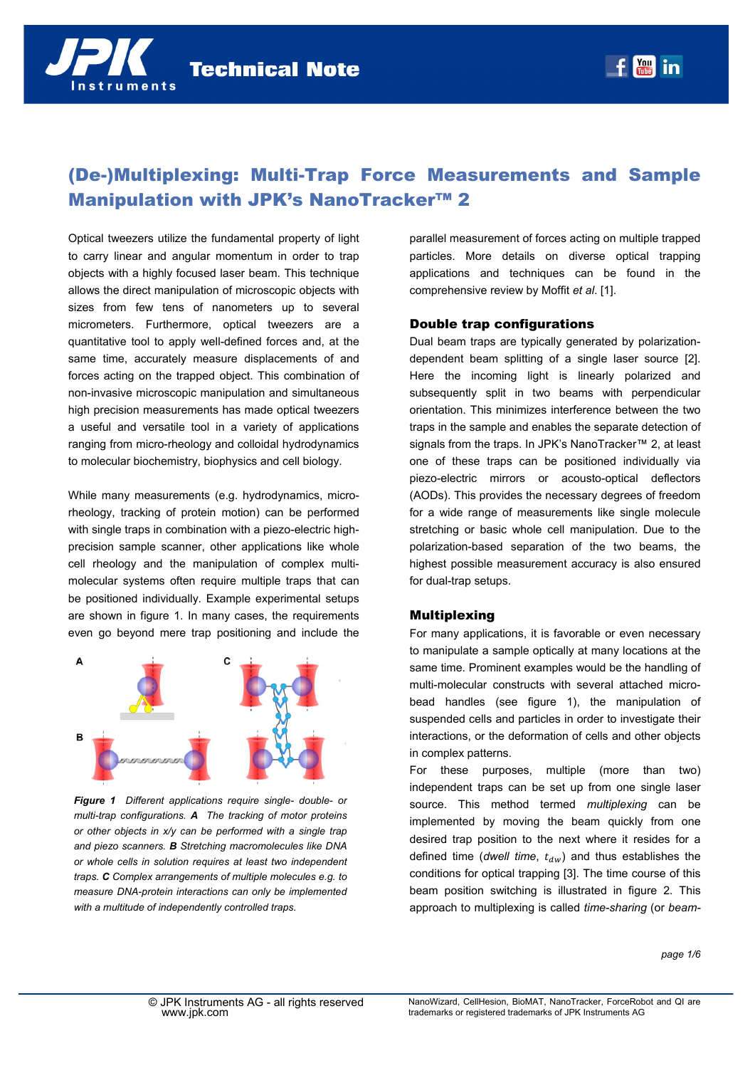# (De-)Multiplexing: Multi-Trap Force Measurements and Sample Manipulation with JPK's NanoTracker™ 2

Optical tweezers utilize the fundamental property of light to carry linear and angular momentum in order to trap objects with a highly focused laser beam. This technique allows the direct manipulation of microscopic objects with sizes from few tens of nanometers up to several micrometers. Furthermore, optical tweezers are a quantitative tool to apply well-defined forces and, at the same time, accurately measure displacements of and forces acting on the trapped object. This combination of non-invasive microscopic manipulation and simultaneous high precision measurements has made optical tweezers a useful and versatile tool in a variety of applications ranging from micro-rheology and colloidal hydrodynamics to molecular biochemistry, biophysics and cell biology.

While many measurements (e.g. hydrodynamics, microrheology, tracking of protein motion) can be performed with single traps in combination with a piezo-electric highprecision sample scanner, other applications like whole cell rheology and the manipulation of complex multimolecular systems often require multiple traps that can be positioned individually. Example experimental setups are shown in figure 1. In many cases, the requirements even go beyond mere trap positioning and include the



*Figure 1 Different applications require single- double- or multi-trap configurations. A The tracking of motor proteins or other objects in x/y can be performed with a single trap and piezo scanners. B Stretching macromolecules like DNA or whole cells in solution requires at least two independent traps. C Complex arrangements of multiple molecules e.g. to measure DNA-protein interactions can only be implemented with a multitude of independently controlled traps.* 

parallel measurement of forces acting on multiple trapped particles. More details on diverse optical trapping applications and techniques can be found in the comprehensive review by Moffit *et al*. [1].

## Double trap configurations

Dual beam traps are typically generated by polarizationdependent beam splitting of a single laser source [2]. Here the incoming light is linearly polarized and subsequently split in two beams with perpendicular orientation. This minimizes interference between the two traps in the sample and enables the separate detection of signals from the traps. In JPK's NanoTracker™ 2, at least one of these traps can be positioned individually via piezo-electric mirrors or acousto-optical deflectors (AODs). This provides the necessary degrees of freedom for a wide range of measurements like single molecule stretching or basic whole cell manipulation. Due to the polarization-based separation of the two beams, the highest possible measurement accuracy is also ensured for dual-trap setups.

#### **Multiplexing**

For many applications, it is favorable or even necessary to manipulate a sample optically at many locations at the same time. Prominent examples would be the handling of multi-molecular constructs with several attached microbead handles (see figure 1), the manipulation of suspended cells and particles in order to investigate their interactions, or the deformation of cells and other objects in complex patterns.

For these purposes, multiple (more than two) independent traps can be set up from one single laser source. This method termed *multiplexing* can be implemented by moving the beam quickly from one desired trap position to the next where it resides for a defined time (*dwell time*,  $t_{dw}$ ) and thus establishes the conditions for optical trapping [3]. The time course of this beam position switching is illustrated in figure 2. This approach to multiplexing is called *time-sharing* (or *beam-*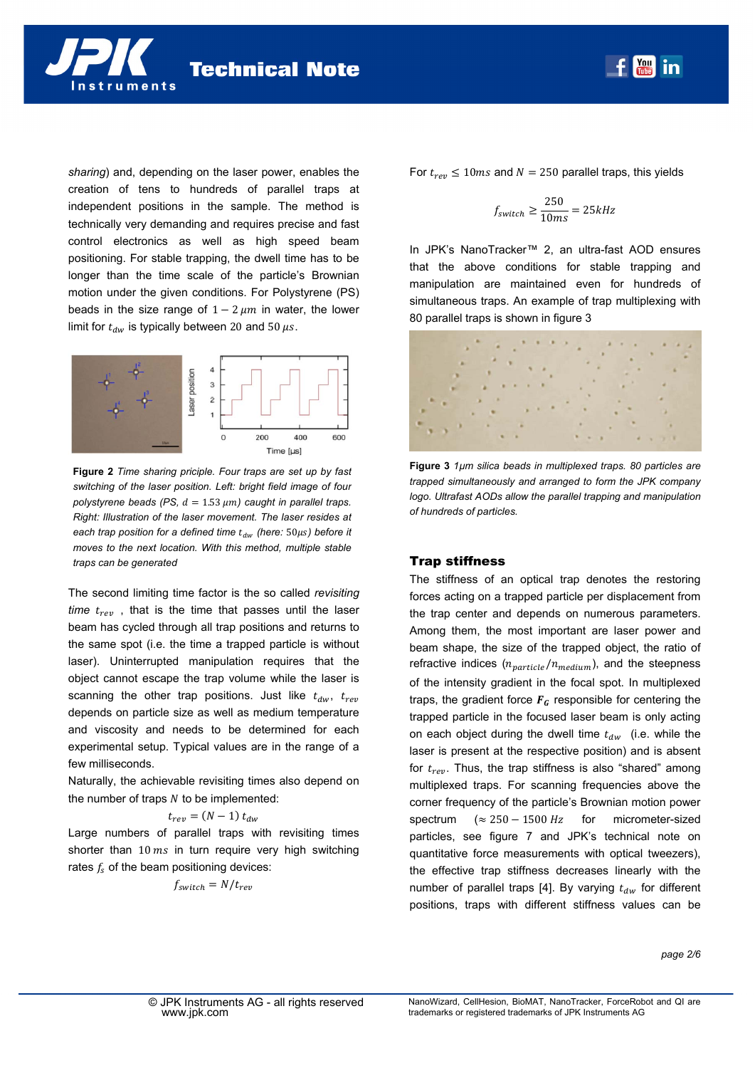*sharing*) and, depending on the laser power, enables the creation of tens to hundreds of parallel traps at independent positions in the sample. The method is technically very demanding and requires precise and fast control electronics as well as high speed beam positioning. For stable trapping, the dwell time has to be longer than the time scale of the particle's Brownian motion under the given conditions. For Polystyrene (PS) beads in the size range of  $1 - 2 \mu m$  in water, the lower limit for  $t_{dw}$  is typically between 20 and 50  $\mu$ s.

nstruments

**Technical Note** 



**Figure 2** *Time sharing priciple. Four traps are set up by fast switching of the laser position. Left: bright field image of four polystyrene beads (PS,*  $d = 1.53 \mu m$ *) caught in parallel traps. Right: Illustration of the laser movement. The laser resides at each trap position for a defined time t<sub>dw</sub> (here: 50μs) before it moves to the next location. With this method, multiple stable traps can be generated* 

The second limiting time factor is the so called *revisiting time*  $t_{rev}$ , that is the time that passes until the laser beam has cycled through all trap positions and returns to the same spot (i.e. the time a trapped particle is without laser). Uninterrupted manipulation requires that the object cannot escape the trap volume while the laser is scanning the other trap positions. Just like  $t_{dw}$ ,  $t_{rev}$ depends on particle size as well as medium temperature and viscosity and needs to be determined for each experimental setup. Typical values are in the range of a few milliseconds.

Naturally, the achievable revisiting times also depend on the number of traps  *to be implemented:* 

$$
t_{rev} = (N-1) t_{dw}
$$

Large numbers of parallel traps with revisiting times shorter than  $10 \text{ ms}$  in turn require very high switching rates  $f_s$  of the beam positioning devices:

$$
f_{switch} = N/t_{rev}
$$

For  $t_{rev} \le 10$  ms and  $N = 250$  parallel traps, this yields

$$
f_{switch} \ge \frac{250}{10ms} = 25kHz
$$

**Moul** in

In JPK's NanoTracker™ 2, an ultra-fast AOD ensures that the above conditions for stable trapping and manipulation are maintained even for hundreds of simultaneous traps. An example of trap multiplexing with 80 parallel traps is shown in figure 3



**Figure 3** *1µm silica beads in multiplexed traps. 80 particles are trapped simultaneously and arranged to form the JPK company logo. Ultrafast AODs allow the parallel trapping and manipulation of hundreds of particles.* 

#### Trap stiffness

The stiffness of an optical trap denotes the restoring forces acting on a trapped particle per displacement from the trap center and depends on numerous parameters. Among them, the most important are laser power and beam shape, the size of the trapped object, the ratio of refractive indices  $(n_{particle}/n_{medium})$ , and the steepness of the intensity gradient in the focal spot. In multiplexed traps, the gradient force  $F<sub>G</sub>$  responsible for centering the trapped particle in the focused laser beam is only acting on each object during the dwell time  $t_{dw}$  (i.e. while the laser is present at the respective position) and is absent for  $t_{rev}$ . Thus, the trap stiffness is also "shared" among multiplexed traps. For scanning frequencies above the corner frequency of the particle's Brownian motion power spectrum  $({\approx 250 - 1500 \; Hz}$  for micrometer-sized particles, see figure 7 and JPK's technical note on quantitative force measurements with optical tweezers), the effective trap stiffness decreases linearly with the number of parallel traps [4]. By varying  $t_{dw}$  for different positions, traps with different stiffness values can be

*page 2/6*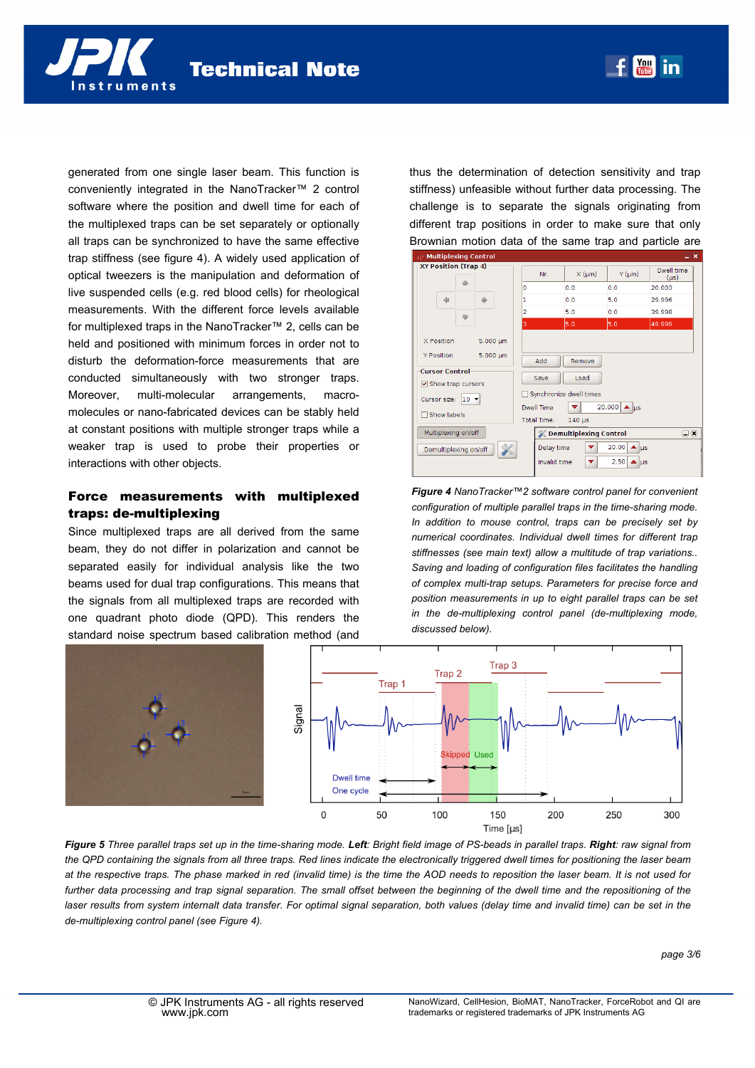generated from one single laser beam. This function is conveniently integrated in the NanoTracker™ 2 control software where the position and dwell time for each of the multiplexed traps can be set separately or optionally all traps can be synchronized to have the same effective trap stiffness (see figure 4). A widely used application of optical tweezers is the manipulation and deformation of live suspended cells (e.g. red blood cells) for rheological measurements. With the different force levels available for multiplexed traps in the NanoTracker™ 2, cells can be held and positioned with minimum forces in order not to disturb the deformation-force measurements that are conducted simultaneously with two stronger traps. Moreover, multi-molecular arrangements, macromolecules or nano-fabricated devices can be stably held at constant positions with multiple stronger traps while a weaker trap is used to probe their properties or interactions with other objects.

# Force measurements with multiplexed traps: de-multiplexing

Since multiplexed traps are all derived from the same beam, they do not differ in polarization and cannot be separated easily for individual analysis like the two beams used for dual trap configurations. This means that the signals from all multiplexed traps are recorded with one quadrant photo diode (QPD). This renders the standard noise spectrum based calibration method (and

thus the determination of detection sensitivity and trap stiffness) unfeasible without further data processing. The challenge is to separate the signals originating from different trap positions in order to make sure that only Brownian motion data of the same trap and particle are

| $\mathbb{R}^n$ Multiplexing Control.<br>- X                                                                            |                                |                                                 |                                                          |                                                                                     |                         |  |
|------------------------------------------------------------------------------------------------------------------------|--------------------------------|-------------------------------------------------|----------------------------------------------------------|-------------------------------------------------------------------------------------|-------------------------|--|
| XY Position (Trap 4)                                                                                                   |                                | Nr.                                             | $X$ ( $\mu$ m)                                           | $Y$ ( $µm$ )                                                                        | Dwell time<br>$(\mu s)$ |  |
| 合                                                                                                                      | ١o                             |                                                 | 0.0                                                      | 0.0                                                                                 | 20.003                  |  |
| 命<br>自                                                                                                                 | ı                              |                                                 | 0.0                                                      | 5.0                                                                                 | 29.996                  |  |
| 显                                                                                                                      | 2                              |                                                 | 5.0                                                      | 0.0                                                                                 | 39.998                  |  |
|                                                                                                                        | 3                              |                                                 | 5.0                                                      | 5.0                                                                                 | 49.999                  |  |
| X Position<br><b>Y Position</b><br><b>Cursor Control</b><br>Show trap cursors<br>$10 -$<br>Cursor size:<br>Show labels | $5.000 \mu m$<br>$5.000 \mu m$ | Add<br>Save<br>Dwell Time<br><b>Total Time:</b> | Remove<br>Load<br>Synchronize dwell times<br>$140 \mu s$ | 20.000 $\triangle$ us                                                               |                         |  |
| Multiplexing on/off                                                                                                    |                                | <b>SCOTT Demultiplexing Control</b>             |                                                          |                                                                                     | $\square$               |  |
| Demultiplexing on/off                                                                                                  |                                | Delay time<br>Invalid time                      | ᢦ<br>÷                                                   | 20.00<br>$\blacktriangle$<br>$\overline{\mu}$ s<br>2.50<br>$\blacktriangle$ $\mu$ s |                         |  |

*Figure 4 NanoTracker™2 software control panel for convenient configuration of multiple parallel traps in the time-sharing mode. In addition to mouse control, traps can be precisely set by numerical coordinates. Individual dwell times for different trap stiffnesses (see main text) allow a multitude of trap variations.. Saving and loading of configuration files facilitates the handling of complex multi-trap setups. Parameters for precise force and position measurements in up to eight parallel traps can be set in the de-multiplexing control panel (de-multiplexing mode, discussed below).*



*Figure 5 Three parallel traps set up in the time-sharing mode. Left: Bright field image of PS-beads in parallel traps. Right: raw signal from the QPD containing the signals from all three traps. Red lines indicate the electronically triggered dwell times for positioning the laser beam at the respective traps. The phase marked in red (invalid time) is the time the AOD needs to reposition the laser beam. It is not used for further data processing and trap signal separation. The small offset between the beginning of the dwell time and the repositioning of the laser results from system internalt data transfer. For optimal signal separation, both values (delay time and invalid time) can be set in the de-multiplexing control panel (see Figure 4).*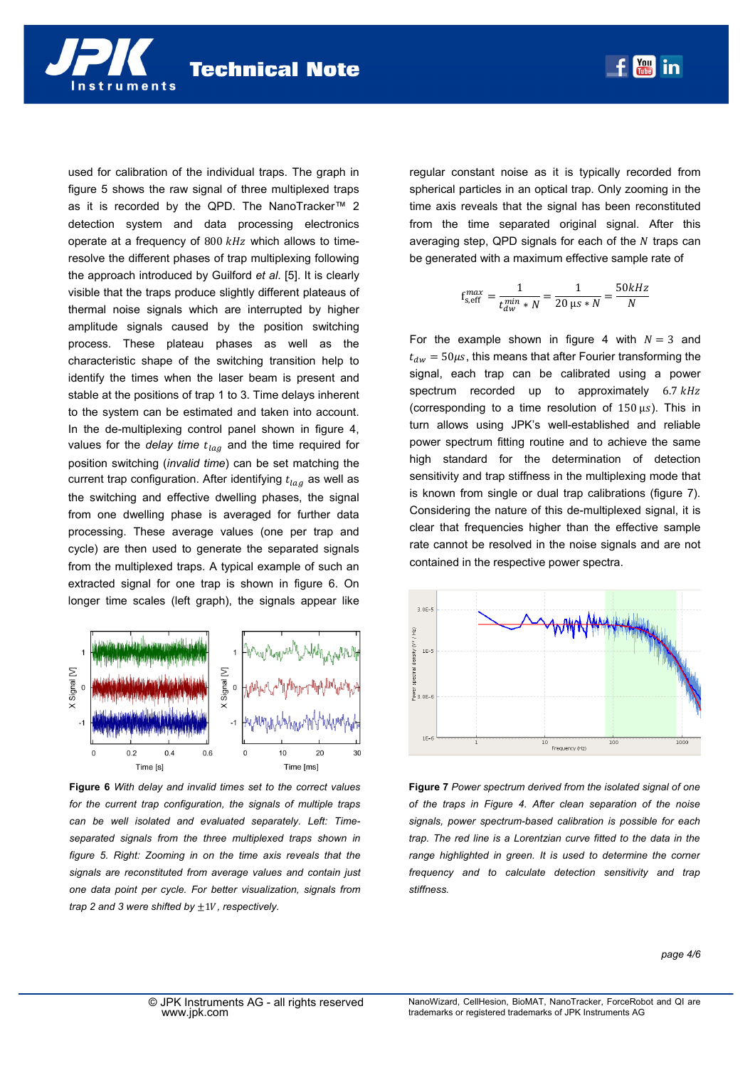used for calibration of the individual traps. The graph in figure 5 shows the raw signal of three multiplexed traps as it is recorded by the QPD. The NanoTracker™ 2 detection system and data processing electronics operate at a frequency of  $800$   $kHz$  which allows to timeresolve the different phases of trap multiplexing following the approach introduced by Guilford *et al*. [5]. It is clearly visible that the traps produce slightly different plateaus of thermal noise signals which are interrupted by higher amplitude signals caused by the position switching process. These plateau phases as well as the characteristic shape of the switching transition help to identify the times when the laser beam is present and stable at the positions of trap 1 to 3. Time delays inherent to the system can be estimated and taken into account. In the de-multiplexing control panel shown in figure 4, values for the *delay time*  $t_{lag}$  and the time required for position switching (*invalid time*) can be set matching the current trap configuration. After identifying  $t_{lag}$  as well as the switching and effective dwelling phases, the signal from one dwelling phase is averaged for further data processing. These average values (one per trap and cycle) are then used to generate the separated signals from the multiplexed traps. A typical example of such an extracted signal for one trap is shown in figure 6. On longer time scales (left graph), the signals appear like



**Figure 6** *With delay and invalid times set to the correct values for the current trap configuration, the signals of multiple traps can be well isolated and evaluated separately. Left: Timeseparated signals from the three multiplexed traps shown in figure 5. Right: Zooming in on the time axis reveals that the signals are reconstituted from average values and contain just one data point per cycle. For better visualization, signals from trap 2 and 3 were shifted by*  $\pm$ 1*V*, *respectively*.

regular constant noise as it is typically recorded from spherical particles in an optical trap. Only zooming in the time axis reveals that the signal has been reconstituted from the time separated original signal. After this averaging step, QPD signals for each of the  $N$  traps can be generated with a maximum effective sample rate of

$$
\mathrm{f_{s,eff}^{max}} = \frac{1}{t_{dw}^{min}*N} = \frac{1}{20 \text{ }\mathrm{\mu s}*N} = \frac{50 kHz}{N}
$$

For the example shown in figure 4 with  $N = 3$  and  $t_{dw} = 50 \mu s$ , this means that after Fourier transforming the signal, each trap can be calibrated using a power spectrum recorded up to approximately  $6.7 \, kHz$ (corresponding to a time resolution of  $150 \,\mu s$ ). This in turn allows using JPK's well-established and reliable power spectrum fitting routine and to achieve the same high standard for the determination of detection sensitivity and trap stiffness in the multiplexing mode that is known from single or dual trap calibrations (figure 7). Considering the nature of this de-multiplexed signal, it is clear that frequencies higher than the effective sample rate cannot be resolved in the noise signals and are not contained in the respective power spectra.



**Figure 7** *Power spectrum derived from the isolated signal of one of the traps in Figure 4. After clean separation of the noise signals, power spectrum-based calibration is possible for each trap. The red line is a Lorentzian curve fitted to the data in the range highlighted in green. It is used to determine the corner frequency and to calculate detection sensitivity and trap stiffness.*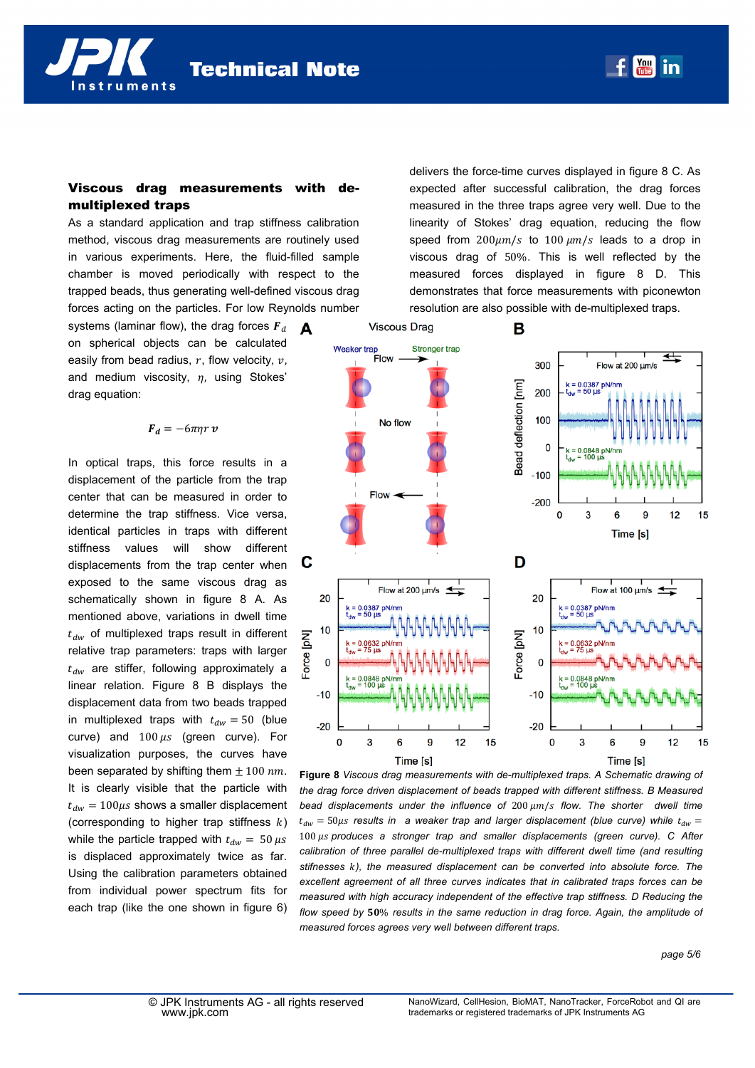**Technical Note** 

## Viscous drag measurements with demultiplexed traps

As a standard application and trap stiffness calibration method, viscous drag measurements are routinely used in various experiments. Here, the fluid-filled sample chamber is moved periodically with respect to the trapped beads, thus generating well-defined viscous drag forces acting on the particles. For low Reynolds number

systems (laminar flow), the drag forces  $F_d$ on spherical objects can be calculated easily from bead radius,  $r$ , flow velocity,  $v$ , and medium viscosity,  $\eta$ , using Stokes' drag equation:

nstruments

 $\boldsymbol{F}_d = -6\pi\eta r \boldsymbol{v}$ 

In optical traps, this force results in a displacement of the particle from the trap center that can be measured in order to determine the trap stiffness. Vice versa, identical particles in traps with different stiffness values will show different displacements from the trap center when exposed to the same viscous drag as schematically shown in figure 8 A. As mentioned above, variations in dwell time  $t_{dw}$  of multiplexed traps result in different relative trap parameters: traps with larger  $t_{dw}$  are stiffer, following approximately a linear relation. Figure 8 B displays the displacement data from two beads trapped in multiplexed traps with  $t_{dw} = 50$  (blue curve) and  $100 \mu s$  (green curve). For visualization purposes, the curves have been separated by shifting them  $\pm$  100  $nm$ . It is clearly visible that the particle with  $t_{dw} = 100 \mu s$  shows a smaller displacement (corresponding to higher trap stiffness  $k$ ) while the particle trapped with  $t_{dw} = 50 \,\mu s$ is displaced approximately twice as far. Using the calibration parameters obtained from individual power spectrum fits for each trap (like the one shown in figure 6) delivers the force-time curves displayed in figure 8 C. As expected after successful calibration, the drag forces measured in the three traps agree very well. Due to the linearity of Stokes' drag equation, reducing the flow speed from  $200\mu m/s$  to  $100 \mu m/s$  leads to a drop in viscous drag of 50%. This is well reflected by the measured forces displayed in figure 8 D. This demonstrates that force measurements with piconewton resolution are also possible with de-multiplexed traps.



**Figure 8** *Viscous drag measurements with de-multiplexed traps. A Schematic drawing of the drag force driven displacement of beads trapped with different stiffness. B Measured bead displacements under the influence of 200 μm/s flow. The shorter dwell time*  $t_{dw} = 50 \mu s$  results in a weaker trap and larger displacement (blue curve) while  $t_{dw} =$ 100  $\mu$ s produces a stronger trap and smaller displacements (green curve). C After *calibration of three parallel de-multiplexed traps with different dwell time (and resulting stifnesses* ݇*), the measured displacement can be converted into absolute force. The excellent agreement of all three curves indicates that in calibrated traps forces can be measured with high accuracy independent of the effective trap stiffness. D Reducing the* flow speed by 50% results in the same reduction in drag force. Again, the amplitude of *measured forces agrees very well between different traps.*